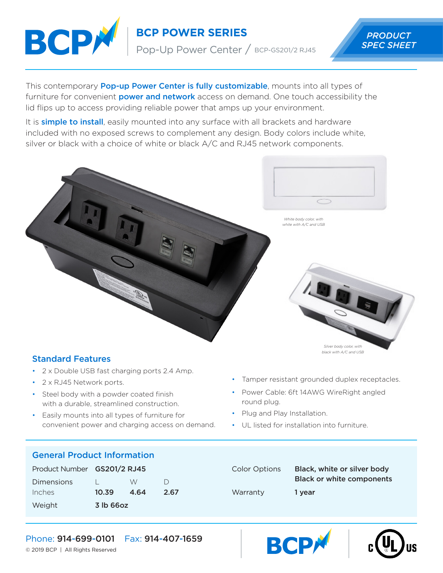

**BCP POWER SERIES** PRODUCT

Pop-Up Power Center / BCP-GS201/2 RJ45

This contemporary **Pop-up Power Center is fully customizable**, mounts into all types of furniture for convenient **power and network** access on demand. One touch accessibility the lid flips up to access providing reliable power that amps up your environment.

It is **simple to install**, easily mounted into any surface with all brackets and hardware included with no exposed screws to complement any design. Body colors include white, silver or black with a choice of white or black A/C and RJ45 network components.



## Standard Features

- 2 x Double USB fast charging ports 2.4 Amp.
- 2 x RJ45 Network ports.
- Steel body with a powder coated finish with a durable, streamlined construction.
- Easily mounts into all types of furniture for convenient power and charging access on demand.

• Tamper resistant grounded duplex receptacles.

- Power Cable: 6ft 14AWG WireRight angled round plug.
- Plug and Play Installation.
- UL listed for installation into furniture.

**BCP** 

# General Product Information

| Product Number GS201/2 RJ45 |           |      |        |
|-----------------------------|-----------|------|--------|
| <b>Dimensions</b>           |           | W.   | $\Box$ |
| Inches                      | 10.39     | 4.64 | 2.67   |
| Weight                      | 3 lb 66oz |      |        |

| <b>Color Options</b> | Black, white or silver body<br><b>Black or white components</b> |
|----------------------|-----------------------------------------------------------------|
| Warranty             | 1 year                                                          |



© 2019 BCP | All Rights Reserved